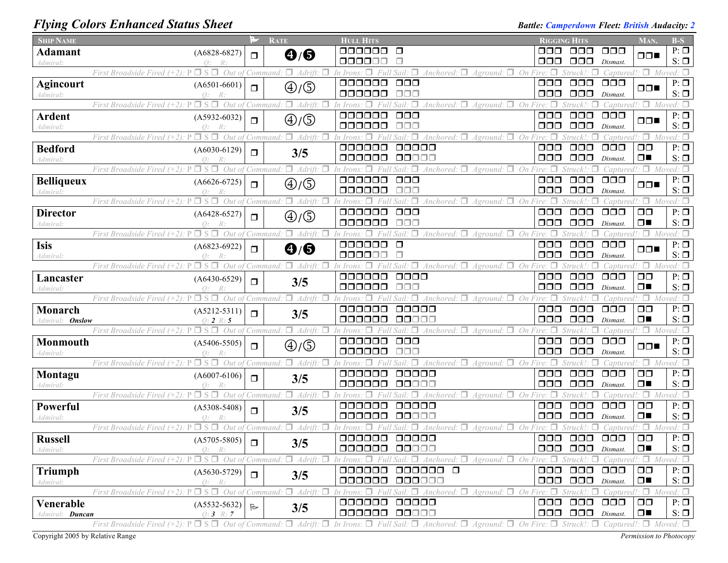# *Flying Colors Enhanced Status Sheet Battle: Camperdown Fleet: British Audacity: 2 Battle: Camperdown Fleet: British Audacity: 2*

| <b>SHIP NAME</b>                    |                                                             | ⊵            | <b>RATE</b>                                         | <b>HULL HITS</b>                                                                                                                                                                                                      | <b>RIGGING HITS</b>    |                                                                          |                                  | <b>MAN</b>                        | $B-S$                                   |
|-------------------------------------|-------------------------------------------------------------|--------------|-----------------------------------------------------|-----------------------------------------------------------------------------------------------------------------------------------------------------------------------------------------------------------------------|------------------------|--------------------------------------------------------------------------|----------------------------------|-----------------------------------|-----------------------------------------|
| <b>Adamant</b>                      | $(A6828-6827)$                                              | $\Box$       | $\mathbf{\Theta}/\mathbf{\Theta}$                   | 000000<br>$\Box$                                                                                                                                                                                                      | ⊓⊓⊓                    | $\Box$ $\Box$                                                            | $\Box$ $\Box$                    | $\Box$                            | $P: \Box$                               |
| Admiral:                            |                                                             |              |                                                     | 000000<br>П                                                                                                                                                                                                           | 000                    | $\Box$ $\Box$                                                            | Dismast.                         |                                   | $S: \Box$                               |
|                                     | $\Box$ S $\Box$<br>Out of<br>First Broadside Fired          |              | Command: $\Box$ Adrift<br>п                         | $\forall$ Anchored: $\Box$<br>$\Box$<br>In Irons.<br>Aground:<br>000000                                                                                                                                               | $\Box$ On Fire: $\Box$ | п                                                                        | Captured!:                       |                                   | $:\Box$ Moved: $\Box$                   |
| <b>Agincourt</b><br>Admiral:        | $(A6501-6601)$<br>$Q$ :<br>R:                               | $\Box$       | $\bigoplus/\bigoplus$                               | $\Box$ $\Box$<br>000000<br>$\Box$ $\Box$ $\Box$                                                                                                                                                                       | 000<br>$\Box$ $\Box$   | $\Box$ $\Box$<br>$\Box\Box\Box$                                          | $\Box$ $\Box$<br>Dismast.        | $\Box \Box$                       | $P: \Box$<br>$S: \Box$                  |
|                                     | $\Box$ S $\Box$<br>Out of<br>First Broadside Fired (+2).    |              | $\Box$ Adrift.<br>Command:                          | $\forall$ Anchored: $\Box$<br>п.<br>On<br>In Irons<br><i>Aground:</i>                                                                                                                                                 | Fire: $\Box$           | Struck!                                                                  | Captured!:                       |                                   | $\Box$ Moved: $\Box$                    |
| <b>Ardent</b><br>Admiral:           | $(A5932-6032)$<br>Q:                                        | $\Box$       | $\textcircled{4}/\textcircled{5}$                   | 000000<br>$\Box$ $\Box$ $\Box$<br>000000<br>$\Box \Box \Box$                                                                                                                                                          | 000<br>000             | $\Box$ $\Box$<br>$\Box$ $\Box$                                           | $\Box$ $\Box$ $\Box$<br>Dismast. | $\Box \Box$                       | $P: \Box$<br>$S: \Box$                  |
|                                     | $\Box$ S $\Box$<br>First Broadside Fired (+2).<br>Out of    |              | $\Box$ Adrift<br>Command.                           | $\Box$ On<br>Anchored:<br>Aground:                                                                                                                                                                                    |                        |                                                                          | Captured.                        | $\Box$ Mo                         |                                         |
| <b>Bedford</b><br>Admiral:          | $(A6030-6129)$                                              | $\Box$       | 3/5                                                 | 000000<br>00000<br>000000<br>00000                                                                                                                                                                                    | 000<br>000             | $\Box$ $\Box$<br>$\Box$ $\Box$                                           | $\Box$ $\Box$<br>Dismast.        | $\Box$ $\Box$<br>$\Box$           | $P: \Box$<br>$S: \Box$                  |
|                                     | $\Box$ S $\Box$<br>Out of<br>First Broadside Fired (+2):    |              | $\Box$ Adrift.<br>Command:                          | $Anchored: \Box$<br>$Aground: \Box On Fire:$<br>Sail:                                                                                                                                                                 |                        | Struck! ·                                                                | Captured                         |                                   | $\Box$ Moved: $\Box$                    |
| <b>Belliqueux</b><br>Admiral:       | $(A6626-6725)$                                              | $\Box$       | ⊕/⑤                                                 | 000000<br>$\Box$ $\Box$<br>000000<br>$\Box \Box \Box$                                                                                                                                                                 | $\Box$ $\Box$<br>000   | $\Box\Box\Box$<br>$\Box$ $\Box$                                          | $\Box$ $\Box$<br>Dismast.        | $\Box \Box$                       | $P: \Box$<br>$S: \Box$                  |
|                                     | $\Box$ S $\Box$<br>First Broadside Fired (+2):<br>Out of    |              | $\Box$ Adrift.<br>п<br>Command                      | $\forall$ Anchored: $\Box$<br>$\Box$ On<br>$\Box$<br>Aground:                                                                                                                                                         |                        | Struck!                                                                  | aptured!                         | $\Box$                            | Moved: $\Box$                           |
| <b>Director</b><br>Admiral:         | $(A6428-6527)$<br>$\Omega$ :                                | $\Box$       | $\textcircled{4}/\textcircled{5}$                   | 000000<br>$\Box$ $\Box$ $\Box$<br>000000<br>$\Box\Box\Box$                                                                                                                                                            | $\Box$ $\Box$<br>000   | $\Box$ $\Box$<br>$\Box$ $\Box$ $\Box$                                    | $\Box$ $\Box$<br>Dismast         | $\Box$ Box<br>$\Box$              | $P: \Box$<br>$S: \Box$                  |
|                                     | Out of<br>First Broadside Fired (+2):<br>$\Box$ S           |              | $\Box$ Adrift.<br>п<br>`Command:                    | Anchored: $\Box$ Aground: $\Box$ On Fire:<br>In Irons                                                                                                                                                                 | п                      | Struck'                                                                  | <i>Captured!:</i>                |                                   | $\Box$ Moved: $\Box$                    |
| Isis<br>Admiral:                    | $(A6823-6922)$<br>$\Omega$ :                                | $\Box$       | $\bf \Theta/\bf \Theta$                             | 000000<br>$\Box$<br>000000<br>п                                                                                                                                                                                       | 000<br>000             | $\Box$ $\Box$<br>$\Box$ $\Box$                                           | $\Box$ $\Box$ $\Box$<br>Dismast. | $\Box \Box$                       | $P: \Box$<br>$S: \Box$                  |
|                                     | $\Box$ S $\Box$<br>First Broadside Fired $(+2)$ : P         |              | Out of Command: $\Box$ Adrift:<br>п                 | $\Box$ Anchored: $\Box$ Aground: $\Box$ On Fire: $\Box$<br>л<br>In Irons.                                                                                                                                             |                        | $Struck!$ : $\Box$                                                       |                                  | Captured!: $\Box$ Moved: $\Box$   |                                         |
| Lancaster<br>Admiral:               | $(A6430-6529)$<br>Q:                                        | $\Box$       | 3/5                                                 | 000000<br>$\Box\Box\Box\Box$<br>000000<br>$\Box \Box \Box$                                                                                                                                                            | $\Box$ $\Box$<br>⊓⊓⊓   | $\Box$ $\Box$<br>$\Box$ $\Box$                                           | $\Box$ $\Box$<br>Dismast.        | $\Box$ $\Box$<br>$\Box$           | $P: \Box$<br>$S: \Box$                  |
|                                     | $\Box$ s $\Box$<br>First Broadside Fired (+2).              |              | Out of Command: $\Box$ Adrift.                      | Anchored: $\Box$ Aground: $\Box$ On Fire: $\Box$<br>In Irons                                                                                                                                                          |                        | Struck!:                                                                 | Captured!                        | ۰П.<br>$M_{O1}$                   |                                         |
| Monarch<br>Admiral: <b>Onslow</b>   | $(A5212-5311)$<br>$0:2 \; R:5$                              | $\Box$       | 3/5                                                 | 000000<br>00000<br>000000<br>00000                                                                                                                                                                                    | 000<br>OOO             | $\Box$ $\Box$<br>$\Box$ $\Box$                                           | $\Box$ $\Box$<br>Dismast         | $\Box$ $\Box$<br>$\Box$           | $P: \Box$<br>$S: \Box$                  |
|                                     | $P \Box S \Box$<br>Out of<br>First Broadside Fired $(+2)$ : |              | π.<br>Adrift.<br>Command:                           | Anchored: $\Box$ Aground: $\Box$<br>On                                                                                                                                                                                | Fire: $\Box$           | Struck!                                                                  | Captured.                        |                                   | $: \Box$ Moved: $\Box$                  |
| Monmouth<br>Admiral:                | $(A5406-5505)$<br>$\Omega$ :                                | $\Box$       | $\textcircled{4}/\textcircled{5}$                   | 000000<br>$\Box$ $\Box$<br>000000<br>ooo                                                                                                                                                                              | 000<br>000             | $\Box$ $\Box$<br>$\Box$ $\Box$                                           | $\Box$ $\Box$<br>Dismast.        | ⊓⊓∎                               | $P: \overline{\mathbb{Z}}$<br>$S: \Box$ |
|                                     | First Broadside Fired $(+2)$ : P<br>$\Box$ S $\Box$ Out of  |              | Command: $\Box$ Adrift:<br>п                        | Anchored: $\Box$ Aground: $\Box$ On Fire:                                                                                                                                                                             | п                      | Struck!                                                                  | Captured!.                       |                                   | $\Box$ Moved: $\Box$                    |
| Montagu<br>Admiral:                 | $(A6007-6106)$<br>$\Omega$ :                                | $\Box$       | 3/5                                                 | 000000<br>00000<br>000000<br>00000                                                                                                                                                                                    | $\Box\Box\Box$<br>000  | $\Box$ $\Box$<br>$\Box$ $\Box$                                           | $\Box$ $\Box$<br>Dismast         | $\Box$ $\Box$<br>$\Box$           | $P: \Box$<br>$S: \Box$                  |
|                                     | $\Box$ S $\Box$<br>Out of<br>First Broadside Fired (+2).    |              | $\Box$ Adrift:<br>п<br>'Command:                    | $A$ ground: $\Box$ On Fire:<br>Anchored: $\Box$<br>In Irons                                                                                                                                                           |                        | Struck!:                                                                 | Captured!: $\Box$                |                                   | Moved: $\Box$                           |
| Powerful<br>Admiral:                | $(A5308-5408)$<br>$\varphi$ :                               | $\Box$       | 3/5                                                 | 000000<br>00000<br>000000<br>00000                                                                                                                                                                                    | 000<br>000             | $\Box$ $\Box$<br>$\Box$ $\Box$                                           | $\Box$ $\Box$<br>Dismast         | $\Box$ Box<br>$\Box$              | $P: \Box$<br>$S: \Box$                  |
|                                     | $\Box$ S $\Box$<br>Out of<br>First Broadside Fired (+2)     |              | $Adrift: \Box$<br>п.<br>Command:                    | Anchored: $\square$<br>$A$ ground: $\Box$ On Fire:<br>'n Irons                                                                                                                                                        |                        | Struck!:                                                                 | Captured                         | ۰. ص                              | Moved: $\Box$                           |
| <b>Russell</b><br>Admiral:          | $(A5705-5805)$<br>R:                                        | $\Box$       | 3/5                                                 | 000000<br>00000<br>000000 00000                                                                                                                                                                                       | $\Box$ $\Box$          | $\Box$ $\Box$<br>$\Box$ $\Box$ $\Box$ $\Box$ $\Box$ $\Box$ $\Box$ $\Box$ | $\Box$ $\Box$                    | $\Box$ $\Box$<br>$\Box$           | $P: \Box$<br>$S: \Box$                  |
|                                     | First Broadside Fired $(+2)$ : P                            |              | $\Box$ S $\Box$ Out of Command: $\Box$ Adrift:<br>п | In Irons: $\Box$ Full Sail: $\Box$ Anchored: $\Box$ Aground: $\Box$ On Fire: $\Box$ Struck!: $\Box$                                                                                                                   |                        |                                                                          |                                  | $Captured$ : $\Box$ Moved: $\Box$ |                                         |
| Triumph<br>Admiral:                 | $(A5630-5729)$<br>$Q$ :<br>R:                               | $\Box$       | 3/5                                                 | 000000 0<br>000000<br>000000<br>000000                                                                                                                                                                                | 000                    | $\Box$ $\Box$<br>000 000                                                 | $\Box$ $\Box$<br>Dismast.        | $\Box$ $\Box$<br>$\Box$           | $P: \Box$<br>$S: \Box$                  |
|                                     | First Broadside Fired $(+2)$ : P                            |              |                                                     | $\Box$ S $\Box$ Out of Command: $\Box$ Adrift: $\Box$ In Irons: $\Box$ Full Sail: $\Box$ Anchored: $\Box$ Aground: $\Box$ On Fire: $\Box$ Struck!: $\Box$                                                             |                        |                                                                          |                                  | $Captured$ : $\Box$ Moved: $\Box$ |                                         |
| Venerable<br>Admiral: <b>Duncan</b> | $(A5532-5632)$<br>$Q: 3 \; R: 7$                            | $\mathbb{R}$ | 3/5                                                 | 000000 00000<br>000000 00000                                                                                                                                                                                          |                        | 000 000<br>$\Box$ $\Box$ $\Box$ $\Box$ $Dismast$ .                       | $\Box$ $\Box$                    | $\Box$ $\Box$<br>$\Box$           | $P: \Box$<br>$S: \Box$                  |
|                                     |                                                             |              |                                                     | First Broadside Fired (+2): $P \Box S \Box$ Out of Command: $\Box$ Adrift: $\Box$ In Irons: $\Box$ Full Sail: $\Box$ Anchored: $\Box$ Aground: $\Box$ On Fire: $\Box$ Struck!: $\Box$ Captured!: $\Box$ Moved: $\Box$ |                        |                                                                          |                                  |                                   |                                         |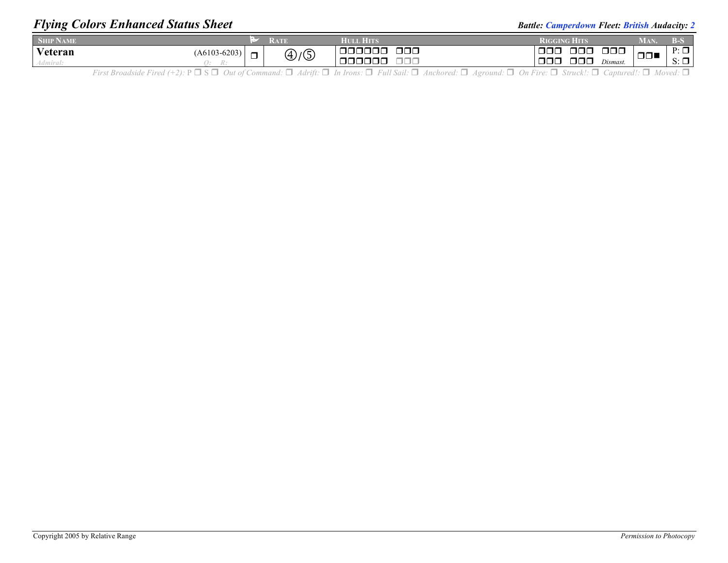## *Flying Colors Enhanced Status Sheet Battle: Camperdown Fleet: British Audacity: 2**Battle: Camperdown Fleet: British Audacity: 2*

| <b>SHIP NAME</b> |                     | "RATE | TIM.<br>HTOTA I                | RIGGING<br>H ITTS                        |                      | VIAN   |                                       |
|------------------|---------------------|-------|--------------------------------|------------------------------------------|----------------------|--------|---------------------------------------|
| Veteran          | $(A6103-6203)$<br>– | D/D   | $\Box$ $\Box$<br>100000<br>∟רי | $\Box$ $\Box$<br>000<br>$\Box \Box \Box$ | $\Box$ $\Box$ $\Box$ | $\Box$ | $P: \Box$<br>$\overline{\phantom{0}}$ |
| лити и.          |                     |       | 0000                           | 000                                      | Dismast.             |        | $S: \square$<br>____                  |

First Broadside Fired  $(+2)$ :  $P \Box S \Box$  Out of Command:  $\Box$  Adrift:  $\Box$  In Irons:  $\Box$  Full Sail:  $\Box$  Anchored:  $\Box$  Aground:  $\Box$  On Fire:  $\Box$  Struck!:  $\Box$  Captured!:  $\Box$  Moved:  $\Box$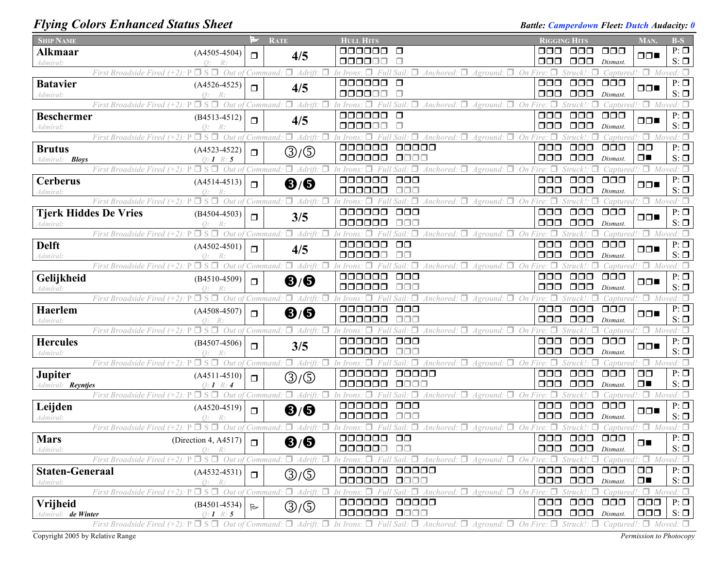## *Flying Colors Enhanced Status Sheet Battle: Camperdown Fleet: Dutch Audacity: 0*

| <b>SHIP NAME</b>               |                                                                          | ಲ            | <b>RATE</b>                                           | <b>HULL HITS</b>                                                                                                                                                                                                      | <b>RIGGING HITS</b> |                                         |                           | <b>MAN</b>                                       | $B-S$                      |
|--------------------------------|--------------------------------------------------------------------------|--------------|-------------------------------------------------------|-----------------------------------------------------------------------------------------------------------------------------------------------------------------------------------------------------------------------|---------------------|-----------------------------------------|---------------------------|--------------------------------------------------|----------------------------|
| <b>Alkmaar</b>                 | $(A4505-4504)$                                                           | $\Box$       | 4/5                                                   | 000000<br>$\Box$                                                                                                                                                                                                      | 8888                | 000                                     | $\Box$ $\Box$ $\Box$      | $\Box$                                           | $P: \Box$                  |
| Admiral:                       | R:                                                                       |              |                                                       | 000000                                                                                                                                                                                                                | 000                 | 000                                     | Dismast.                  |                                                  | $S: \Box$                  |
|                                | Out of<br>First Broadside Fired                                          |              | Adrift.<br>'Command                                   | $\forall$ Anchored: $\Box$<br>On<br>Aground:                                                                                                                                                                          |                     |                                         | Captured!.                | $\Box$ Moved: $\Box$                             |                            |
| <b>Batavier</b>                | $(A4526 - 4525)$                                                         | $\Box$       | 4/5                                                   | 000000<br>$\Box$<br>000000<br>$\Box$                                                                                                                                                                                  | ooo<br>000          | $\Box \Box \Box$<br>$\Box$ $\Box$       | $\Box$ $\Box$<br>Dismast. | $\Box$                                           | $P: \Box$<br>$S: \Box$     |
| Admiral:                       | Q:<br>$\Box$ S $\Box$ Out of Command:<br>First Broadside Fired $(+2)$ :  |              | $\Box$ Adrift:                                        | Anchored: $\Box$ Aground: $\Box$ On Fire:<br>In Irons: $\Box$<br>Full Sail.                                                                                                                                           | $\Box$              | $Struck!$ : $\Box$                      |                           | Captured!: $\Box$ Moved: $\Box$                  |                            |
| <b>Beschermer</b>              | $(B4513 - 4512)$                                                         |              |                                                       | 000000<br>$\Box$                                                                                                                                                                                                      | 000                 | $\Box$ $\Box$                           | $\Box$ $\Box$             |                                                  | $P: \Box$                  |
| Admiral:                       | Q:                                                                       | $\Box$       | 4/5                                                   | 000000<br>$\Box$                                                                                                                                                                                                      | 000                 | $\Box$ $\Box$                           | Dismast.                  | $\Box$                                           | $S: \Box$                  |
|                                | $\Box$ S $\Box$<br>Out of<br>First Broadside Fired                       |              | $\Box$ Adrift<br>Command                              | Anchored: $\Box$<br>A ground                                                                                                                                                                                          |                     |                                         | Capturec                  | п.                                               | Moved: $\Box$              |
| <b>Brutus</b>                  | $(A4523 - 4522)$                                                         | $\Box$       | ③/⑤                                                   | ooooo<br>00000                                                                                                                                                                                                        | 000                 | $\Box$ $\Box$                           | $\Box$ $\Box$ $\Box$      | $\Box$ $\Box$                                    | $P: \Box$                  |
| Admiral: <b>Bloys</b>          | $Q: I \; R: 5$                                                           |              |                                                       | 000000<br>0000                                                                                                                                                                                                        | 000                 | $\Box \Box \Box$                        | Dismast.                  | $\Box$                                           | $S: \Box$                  |
|                                | Out of<br>П<br>-S<br>First Broadside Fired                               |              | Command                                               | On<br>Anchored:<br>Aground.                                                                                                                                                                                           |                     |                                         | Captured                  | ۰П                                               | Moved: $\Box$              |
| <b>Cerberus</b>                | $(A4514-4513)$                                                           | $\Box$       | $\mathbf{6}/\mathbf{6}$                               | 000000<br>OOO<br>$\Box \Box \Box$                                                                                                                                                                                     | 000                 | $\Box \Box \Box$                        | $\Box$ $\Box$ $\Box$      | $\Box \Box$                                      | $P: \Box$                  |
| 4dmiral:                       | $\Omega$ :<br>$\Box$ S $\Box$ Out of<br>First Broadside Fired $(+2)$ : P |              | $\Box$ Adrift.<br>Command:                            | 000000<br>Anchored: $\Box$<br>$A$ ground: $\Box$ On                                                                                                                                                                   | 000                 | $\Box$ $\Box$<br>Struck!:               | Dismast.<br>Captured      | $\Box$ Moved: $\Box$                             | $S: \Box$                  |
| <b>Tjerk Hiddes De Vries</b>   | $(B4504 - 4503)$                                                         |              |                                                       | 000000<br>000                                                                                                                                                                                                         | 000                 | $\Box$ $\Box$                           | $\Box$ $\Box$ $\Box$      |                                                  | $P: \Box$                  |
| Admiral:                       |                                                                          | $\Box$       | 3/5                                                   | 000000<br>$\Box \Box \Box$                                                                                                                                                                                            | 000                 | $\Box$ $\Box$                           | Dismast.                  | $\Box \Box$                                      | $S: \Box$                  |
|                                | $\Box$ S $\Box$<br>Out of<br>First Broadside Fired $(+2)$ :              |              | $\Box$ Adrift.<br>Command.                            | $\forall$ Anchored: $\Box$<br>$A$ ground: $\Box$ On<br>$Sail: \Box$                                                                                                                                                   |                     | Struck!:                                | Capturec                  | $\Box$ Mo                                        | $red: \Box$                |
| <b>Delft</b>                   | $(A4502 - 4501)$                                                         | $\Box$       | 4/5                                                   | $\Box$<br>000000                                                                                                                                                                                                      | 000                 | $\Box$ $\Box$                           | $\Box$ $\Box$             | $\Box$                                           | $P: \Box$                  |
| 4dmiral:                       |                                                                          |              |                                                       | 000000<br>$\Box$ $\Box$                                                                                                                                                                                               | 000                 | $\Box \Box \Box$                        | Dismast.                  |                                                  | $S: \Box$                  |
|                                | $\Box$ S $\Box$<br>Out of<br>First Broadside Fired $(+2)$ .              |              | $\Box$ Adrift.<br>Command                             | Anchored: $\Box$<br>Aground:<br>On                                                                                                                                                                                    |                     | Struck!:                                | Captured                  | $\Box$                                           | Moved: $\Box$              |
| Gelijkheid                     | $(B4510-4509)$                                                           | $\Box$       | $\mathbf{6}/\mathbf{6}$                               | 000000<br>$\Box$ $\Box$ $\Box$                                                                                                                                                                                        | 000                 | $\Box$ $\Box$                           | $\Box$ $\Box$ $\Box$      | $\Box$                                           | $P: \Box$                  |
| 4dmiral:                       |                                                                          |              | п.                                                    | 000000<br>ooo                                                                                                                                                                                                         | ooo                 | 000<br>Struck!                          | Dismast.                  |                                                  | $S: \Box$                  |
| Haerlem                        | Out of<br>First Broadside Fired                                          |              | Adrift.<br>Command                                    | Anchored: $□$<br>On.<br>Aground:<br>000000<br>$\Box$ $\Box$                                                                                                                                                           | 000                 | 000                                     | Capture<br>$\Box$ $\Box$  |                                                  | $P: \Box$                  |
| Admiral:                       | $(A4508-4507)$                                                           | $\Box$       | $\mathbf{6}/\mathbf{6}$                               | 000000<br>ooo                                                                                                                                                                                                         | ooo                 | $\Box$ $\Box$                           | Dismast.                  | $\Box$                                           | $S: \Box$                  |
|                                | Out of<br>First Broadside Fired                                          |              | $\Box$ Adrift<br>Command.                             | Anchored: $\Box$<br>Aground:<br>п<br>On Fire:                                                                                                                                                                         | $\Box$              | Struck!:<br>п                           | Captured                  | $\because \Box$ Mor                              | red: $\Box$                |
| <b>Hercules</b>                | $(B4507-4506)$                                                           | $\Box$       |                                                       | 000000<br>$\Box$ $\Box$                                                                                                                                                                                               | 000                 | $\Box$ $\Box$                           | $\Box$ $\Box$             | $\Box$                                           | $P: \Box$                  |
| 4dmiral:                       | $\Omega$ :                                                               |              | 3/5                                                   | 000000<br>$\Box \Box \Box$                                                                                                                                                                                            | 000                 | $\Box$ $\Box$                           | Dismast.                  |                                                  | $S: \Box$                  |
|                                | First Broadside Fired (+2).<br>$\Box$ S $\Box$<br>Out of                 |              | п.<br>Adrift.<br>Command.                             | Anchored: $\Box$<br>On<br>Aground:                                                                                                                                                                                    | $\Box$              | Struck!:<br>ш                           | Captured                  | $\cdot \Box$ Moved: $\Box$                       |                            |
| Jupiter                        | $(A4511-4510)$                                                           | $\Box$       | ③/⑤                                                   | 000000<br>00000                                                                                                                                                                                                       | 000                 | $\Box$ $\Box$ $\Box$                    | $\Box$ $\Box$             | $\Box$ $\Box$                                    | $P: \Box$                  |
| Admiral: Reyntjes              | $Q: I \ R: 4$<br>$\Box$ S                                                |              | $\Box$ Adrift.                                        | 000000<br>0000<br>On                                                                                                                                                                                                  | ooo                 | $\Box$ $\Box$                           | Dismast.                  | $\Box$<br>$\cdot$ $\Box$ .                       | $S: \Box$<br>Moved: $\Box$ |
| Leijden                        | First Broadside Fired $(+2)$ .<br>Out of                                 |              | 'ommand.                                              | Anchored: $\Box$<br>Aground:<br>000000<br>$\Box$ $\Box$                                                                                                                                                               | 000                 | Struck!:<br>$\Box$ $\Box$               | Captured<br>$\Box$ $\Box$ |                                                  | $P: \Box$                  |
| Admiral:                       | $(A4520-4519)$<br>$\Omega$ :                                             | $\Box$       | $\mathbf{6}/\mathbf{6}$                               | 000000<br>ooo                                                                                                                                                                                                         | 000                 | 000                                     | Dismast.                  | $\Box$                                           | $S: \Box$                  |
|                                | Out of<br>First Broadside Fired                                          |              | $\Box$ Adrift:<br>Command:                            | Anchored: $\Box$ Aground: $\Box$<br>On Fire                                                                                                                                                                           |                     | Struck!                                 | <i>Captured</i>           | $\Box$ Moved: $\Box$                             |                            |
| <b>Mars</b>                    | (Direction 4, A4517)                                                     | $\Box$       | $\mathbf{6}/\mathbf{6}$                               | 000000 00                                                                                                                                                                                                             | 000                 | $\Box$ $\Box$                           | $\Box$ $\Box$             | ⊓∎                                               | $P: \Box$                  |
| 4dmiral:                       | 0:<br>R:                                                                 |              |                                                       | 000000<br>$\Box$                                                                                                                                                                                                      |                     | 000 000                                 | Dismast.                  |                                                  | $S: \Box$                  |
|                                | First Broadside Fired (+2): P                                            |              | $\Box$ S $\Box$ Out of Command: $\Box$ Adrift: $\Box$ | In Irons: $\Box$ Full Sail: $\Box$ Anchored: $\Box$ Aground: $\Box$ On Fire: $\Box$ Struck!: $\Box$                                                                                                                   |                     |                                         |                           | $Captured$ : $\Box$ Moved: $\Box$                |                            |
| <b>Staten-Generaal</b>         | $(A4532 - 4531)$                                                         | $\Box$       | ③/⑤                                                   | 000000 00000                                                                                                                                                                                                          | 000                 | $\Box$ $\Box$                           | $\Box$ $\Box$             | $\Box$ $\Box$                                    | $P: \Box$                  |
| <i><u><b>Admiral</b></u></i>   | R:<br>O:                                                                 |              |                                                       | 000000 0000                                                                                                                                                                                                           |                     | 000 000                                 | Dismast.                  | $\Box$                                           | $S: \Box$                  |
|                                | $\Box$ S $\Box$<br>Out of Command.<br>First Broadside Fired (+2): P      |              | $\Box$ Adrift: $\Box$                                 | In Irons: $\Box$ Full Sail: $\Box$ Anchored: $\Box$<br>$A$ ground: $\Box$ On<br>000000 00000                                                                                                                          |                     | Fire: $\Box$ Struck!: $\Box$<br>000 000 | $\Box$ $\Box$             | Captured!: $\Box$ Moved: $\Box$<br>$\Box$ $\Box$ | $P: \Box$                  |
| Vrijheid<br>Admiral: de Winter | $(B4501 - 4534)$<br>$Q: I \; R: 5$                                       | $\mathbb{R}$ | ③/⑤                                                   | 000000 0000                                                                                                                                                                                                           |                     | 000 000                                 | Dismast.                  | $\Box$ $\Box$                                    | $S: \Box$                  |
|                                |                                                                          |              |                                                       | First Broadside Fired (+2): $P \Box S \Box$ Out of Command: $\Box$ Adrift: $\Box$ In Irons: $\Box$ Full Sail: $\Box$ Anchored: $\Box$ Aground: $\Box$ On Fire: $\Box$ Struck!: $\Box$ Captured!: $\Box$ Moved: $\Box$ |                     |                                         |                           |                                                  |                            |